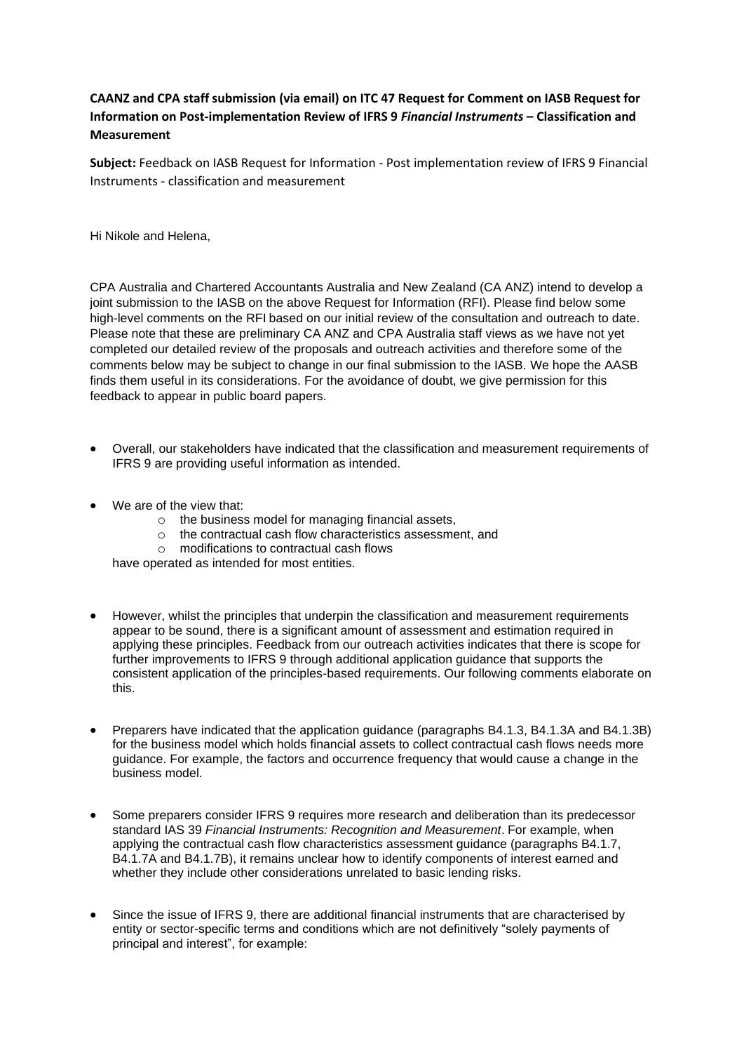## **CAANZ and CPA staff submission (via email) on ITC 47 Request for Comment on IASB Request for Information on Post-implementation Review of IFRS 9** *Financial Instruments* **– Classification and Measurement**

**Subject:** Feedback on IASB Request for Information - Post implementation review of IFRS 9 Financial Instruments - classification and measurement

Hi Nikole and Helena,

CPA Australia and Chartered Accountants Australia and New Zealand (CA ANZ) intend to develop a joint submission to the IASB on the above Request for Information (RFI). Please find below some high-level comments on the RFI based on our initial review of the consultation and outreach to date. Please note that these are preliminary CA ANZ and CPA Australia staff views as we have not yet completed our detailed review of the proposals and outreach activities and therefore some of the comments below may be subject to change in our final submission to the IASB. We hope the AASB finds them useful in its considerations. For the avoidance of doubt, we give permission for this feedback to appear in public board papers.

- Overall, our stakeholders have indicated that the classification and measurement requirements of IFRS 9 are providing useful information as intended.
- We are of the view that:
	- $\circ$  the business model for managing financial assets.
	- o the contractual cash flow characteristics assessment, and
	- o modifications to contractual cash flows

have operated as intended for most entities.

- However, whilst the principles that underpin the classification and measurement requirements appear to be sound, there is a significant amount of assessment and estimation required in applying these principles. Feedback from our outreach activities indicates that there is scope for further improvements to IFRS 9 through additional application guidance that supports the consistent application of the principles-based requirements. Our following comments elaborate on this.
- Preparers have indicated that the application guidance (paragraphs B4.1.3, B4.1.3A and B4.1.3B) for the business model which holds financial assets to collect contractual cash flows needs more guidance. For example, the factors and occurrence frequency that would cause a change in the business model.
- Some preparers consider IFRS 9 requires more research and deliberation than its predecessor standard IAS 39 *Financial Instruments: Recognition and Measurement*. For example, when applying the contractual cash flow characteristics assessment guidance (paragraphs B4.1.7, B4.1.7A and B4.1.7B), it remains unclear how to identify components of interest earned and whether they include other considerations unrelated to basic lending risks.
- Since the issue of IFRS 9, there are additional financial instruments that are characterised by entity or sector-specific terms and conditions which are not definitively "solely payments of principal and interest", for example: